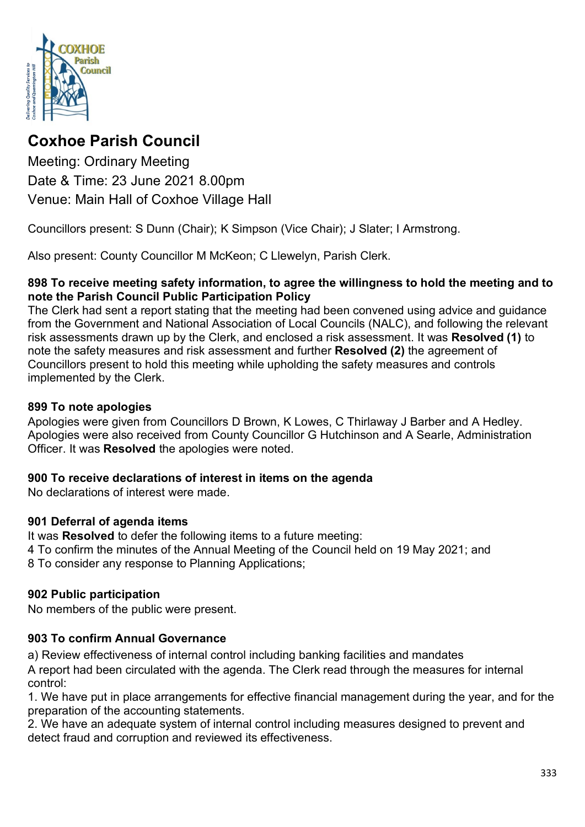

# **Coxhoe Parish Council**

Meeting: Ordinary Meeting Date & Time: 23 June 2021 8.00pm Venue: Main Hall of Coxhoe Village Hall

Councillors present: S Dunn (Chair); K Simpson (Vice Chair); J Slater; I Armstrong.

Also present: County Councillor M McKeon; C Llewelyn, Parish Clerk.

#### **898 To receive meeting safety information, to agree the willingness to hold the meeting and to note the Parish Council Public Participation Policy**

The Clerk had sent a report stating that the meeting had been convened using advice and guidance from the Government and National Association of Local Councils (NALC), and following the relevant risk assessments drawn up by the Clerk, and enclosed a risk assessment. It was **Resolved (1)** to note the safety measures and risk assessment and further **Resolved (2)** the agreement of Councillors present to hold this meeting while upholding the safety measures and controls implemented by the Clerk.

### **899 To note apologies**

Apologies were given from Councillors D Brown, K Lowes, C Thirlaway J Barber and A Hedley. Apologies were also received from County Councillor G Hutchinson and A Searle, Administration Officer. It was **Resolved** the apologies were noted.

### **900 To receive declarations of interest in items on the agenda**

No declarations of interest were made.

### **901 Deferral of agenda items**

It was **Resolved** to defer the following items to a future meeting: 4 To confirm the minutes of the Annual Meeting of the Council held on 19 May 2021; and 8 To consider any response to Planning Applications;

### **902 Public participation**

No members of the public were present.

### **903 To confirm Annual Governance**

a) Review effectiveness of internal control including banking facilities and mandates

A report had been circulated with the agenda. The Clerk read through the measures for internal control:

1. We have put in place arrangements for effective financial management during the year, and for the preparation of the accounting statements.

2. We have an adequate system of internal control including measures designed to prevent and detect fraud and corruption and reviewed its effectiveness.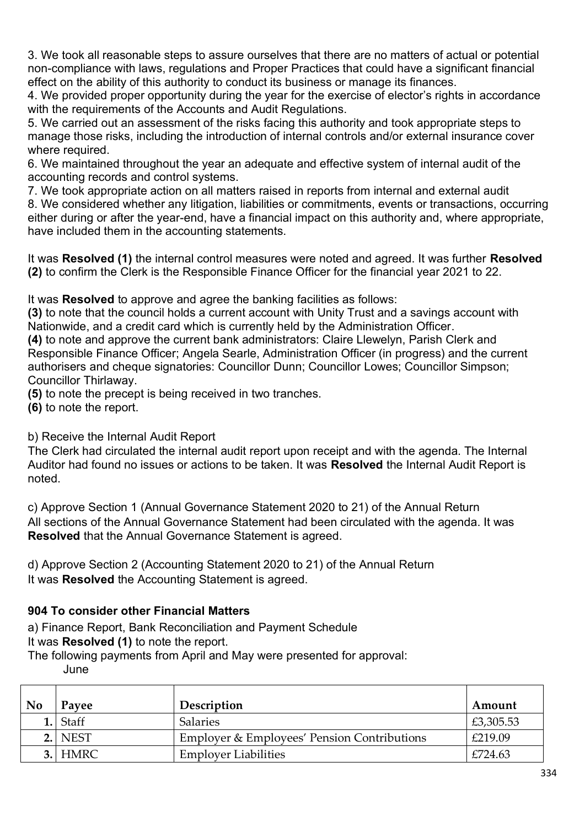3. We took all reasonable steps to assure ourselves that there are no matters of actual or potential non-compliance with laws, regulations and Proper Practices that could have a significant financial effect on the ability of this authority to conduct its business or manage its finances.

4. We provided proper opportunity during the year for the exercise of elector's rights in accordance with the requirements of the Accounts and Audit Regulations.

5. We carried out an assessment of the risks facing this authority and took appropriate steps to manage those risks, including the introduction of internal controls and/or external insurance cover where required.

6. We maintained throughout the year an adequate and effective system of internal audit of the accounting records and control systems.

7. We took appropriate action on all matters raised in reports from internal and external audit 8. We considered whether any litigation, liabilities or commitments, events or transactions, occurring either during or after the year-end, have a financial impact on this authority and, where appropriate, have included them in the accounting statements.

It was **Resolved (1)** the internal control measures were noted and agreed. It was further **Resolved (2)** to confirm the Clerk is the Responsible Finance Officer for the financial year 2021 to 22.

It was **Resolved** to approve and agree the banking facilities as follows:

**(3)** to note that the council holds a current account with Unity Trust and a savings account with Nationwide, and a credit card which is currently held by the Administration Officer.

**(4)** to note and approve the current bank administrators: Claire Llewelyn, Parish Clerk and Responsible Finance Officer; Angela Searle, Administration Officer (in progress) and the current authorisers and cheque signatories: Councillor Dunn; Councillor Lowes; Councillor Simpson; Councillor Thirlaway.

**(5)** to note the precept is being received in two tranches.

**(6)** to note the report.

b) Receive the Internal Audit Report

The Clerk had circulated the internal audit report upon receipt and with the agenda. The Internal Auditor had found no issues or actions to be taken. It was **Resolved** the Internal Audit Report is noted.

c) Approve Section 1 (Annual Governance Statement 2020 to 21) of the Annual Return All sections of the Annual Governance Statement had been circulated with the agenda. It was **Resolved** that the Annual Governance Statement is agreed.

d) Approve Section 2 (Accounting Statement 2020 to 21) of the Annual Return It was **Resolved** the Accounting Statement is agreed.

### **904 To consider other Financial Matters**

a) Finance Report, Bank Reconciliation and Payment Schedule

It was **Resolved (1)** to note the report.

The following payments from April and May were presented for approval:

June

| N <sub>0</sub> | Payee      | Description                                            | Amount    |
|----------------|------------|--------------------------------------------------------|-----------|
|                | $1.$ Staff | <b>Salaries</b>                                        | £3,305.53 |
|                | 2. NEST    | <b>Employer &amp; Employees' Pension Contributions</b> | £219.09   |
|                | 3. HMRC    | <b>Employer Liabilities</b>                            | £724.63   |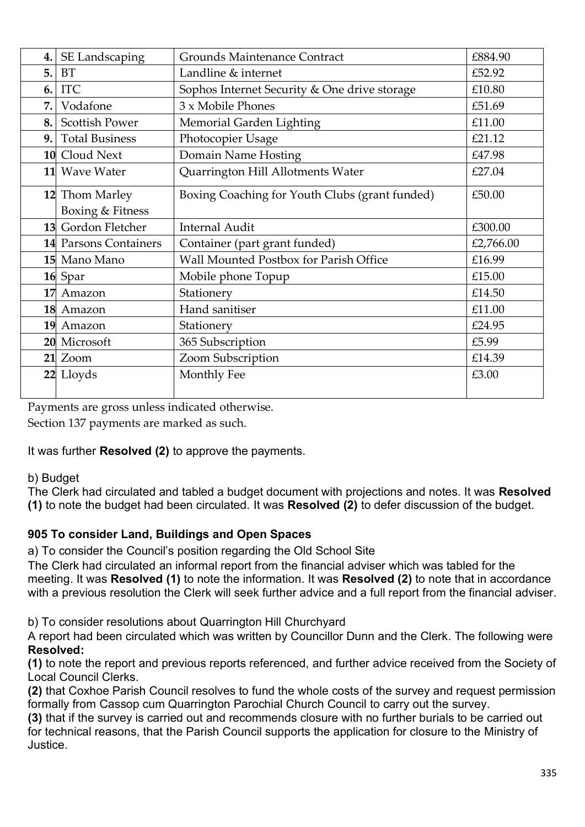| 4. | SE Landscaping        | Grounds Maintenance Contract                   | £884.90   |
|----|-----------------------|------------------------------------------------|-----------|
| 5. | <b>BT</b>             | Landline & internet                            | £52.92    |
| 6. | <b>ITC</b>            | Sophos Internet Security & One drive storage   | £10.80    |
| 7. | Vodafone              | 3 x Mobile Phones                              | £51.69    |
| 8. | <b>Scottish Power</b> | Memorial Garden Lighting                       | £11.00    |
| 9. | <b>Total Business</b> | Photocopier Usage                              | £21.12    |
|    | 10 Cloud Next         | Domain Name Hosting                            | £47.98    |
|    | 11 Wave Water         | Quarrington Hill Allotments Water              | £27.04    |
|    | 12 Thom Marley        | Boxing Coaching for Youth Clubs (grant funded) | £50.00    |
|    | Boxing & Fitness      |                                                |           |
|    |                       |                                                |           |
|    | 13 Gordon Fletcher    | <b>Internal Audit</b>                          | £300.00   |
|    | 14 Parsons Containers | Container (part grant funded)                  | £2,766.00 |
|    | 15 Mano Mano          | Wall Mounted Postbox for Parish Office         | £16.99    |
|    | 16 Spar               | Mobile phone Topup                             | £15.00    |
|    | 17 Amazon             | Stationery                                     | £14.50    |
|    | 18 Amazon             | Hand sanitiser                                 | £11.00    |
|    | 19 Amazon             | Stationery                                     | £24.95    |
|    | 20 Microsoft          | 365 Subscription                               | £5.99     |
|    | 21 Zoom               | Zoom Subscription                              | £14.39    |
|    | 22 Lloyds             | Monthly Fee                                    | £3.00     |

Payments are gross unless indicated otherwise.

Section 137 payments are marked as such.

### It was further **Resolved (2)** to approve the payments.

#### b) Budget

The Clerk had circulated and tabled a budget document with projections and notes. It was **Resolved (1)** to note the budget had been circulated. It was **Resolved (2)** to defer discussion of the budget.

### **905 To consider Land, Buildings and Open Spaces**

a) To consider the Council's position regarding the Old School Site

The Clerk had circulated an informal report from the financial adviser which was tabled for the meeting. It was **Resolved (1)** to note the information. It was **Resolved (2)** to note that in accordance with a previous resolution the Clerk will seek further advice and a full report from the financial adviser.

b) To consider resolutions about Quarrington Hill Churchyard

A report had been circulated which was written by Councillor Dunn and the Clerk. The following were **Resolved:**

**(1)** to note the report and previous reports referenced, and further advice received from the Society of Local Council Clerks.

**(2)** that Coxhoe Parish Council resolves to fund the whole costs of the survey and request permission formally from Cassop cum Quarrington Parochial Church Council to carry out the survey.

**(3)** that if the survey is carried out and recommends closure with no further burials to be carried out for technical reasons, that the Parish Council supports the application for closure to the Ministry of Justice.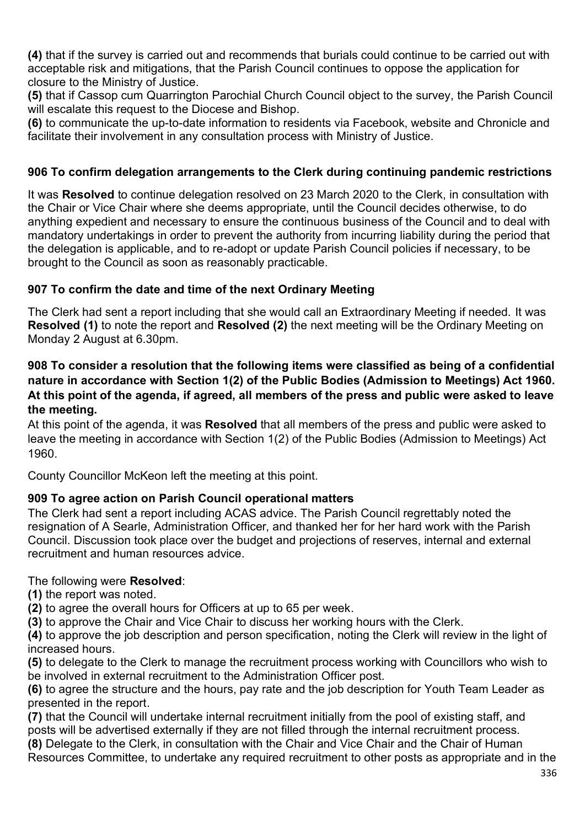**(4)** that if the survey is carried out and recommends that burials could continue to be carried out with acceptable risk and mitigations, that the Parish Council continues to oppose the application for closure to the Ministry of Justice.

**(5)** that if Cassop cum Quarrington Parochial Church Council object to the survey, the Parish Council will escalate this request to the Diocese and Bishop.

**(6)** to communicate the up-to-date information to residents via Facebook, website and Chronicle and facilitate their involvement in any consultation process with Ministry of Justice.

### **906 To confirm delegation arrangements to the Clerk during continuing pandemic restrictions**

It was **Resolved** to continue delegation resolved on 23 March 2020 to the Clerk, in consultation with the Chair or Vice Chair where she deems appropriate, until the Council decides otherwise, to do anything expedient and necessary to ensure the continuous business of the Council and to deal with mandatory undertakings in order to prevent the authority from incurring liability during the period that the delegation is applicable, and to re-adopt or update Parish Council policies if necessary, to be brought to the Council as soon as reasonably practicable.

### **907 To confirm the date and time of the next Ordinary Meeting**

The Clerk had sent a report including that she would call an Extraordinary Meeting if needed. It was **Resolved (1)** to note the report and **Resolved (2)** the next meeting will be the Ordinary Meeting on Monday 2 August at 6.30pm.

### **908 To consider a resolution that the following items were classified as being of a confidential nature in accordance with Section 1(2) of the Public Bodies (Admission to Meetings) Act 1960. At this point of the agenda, if agreed, all members of the press and public were asked to leave the meeting.**

At this point of the agenda, it was **Resolved** that all members of the press and public were asked to leave the meeting in accordance with Section 1(2) of the Public Bodies (Admission to Meetings) Act 1960.

County Councillor McKeon left the meeting at this point.

### **909 To agree action on Parish Council operational matters**

The Clerk had sent a report including ACAS advice. The Parish Council regrettably noted the resignation of A Searle, Administration Officer, and thanked her for her hard work with the Parish Council. Discussion took place over the budget and projections of reserves, internal and external recruitment and human resources advice.

### The following were **Resolved**:

- **(1)** the report was noted.
- **(2)** to agree the overall hours for Officers at up to 65 per week.
- **(3)** to approve the Chair and Vice Chair to discuss her working hours with the Clerk.

**(4)** to approve the job description and person specification, noting the Clerk will review in the light of increased hours.

**(5)** to delegate to the Clerk to manage the recruitment process working with Councillors who wish to be involved in external recruitment to the Administration Officer post.

**(6)** to agree the structure and the hours, pay rate and the job description for Youth Team Leader as presented in the report.

**(7)** that the Council will undertake internal recruitment initially from the pool of existing staff, and posts will be advertised externally if they are not filled through the internal recruitment process.

**(8)** Delegate to the Clerk, in consultation with the Chair and Vice Chair and the Chair of Human

Resources Committee, to undertake any required recruitment to other posts as appropriate and in the